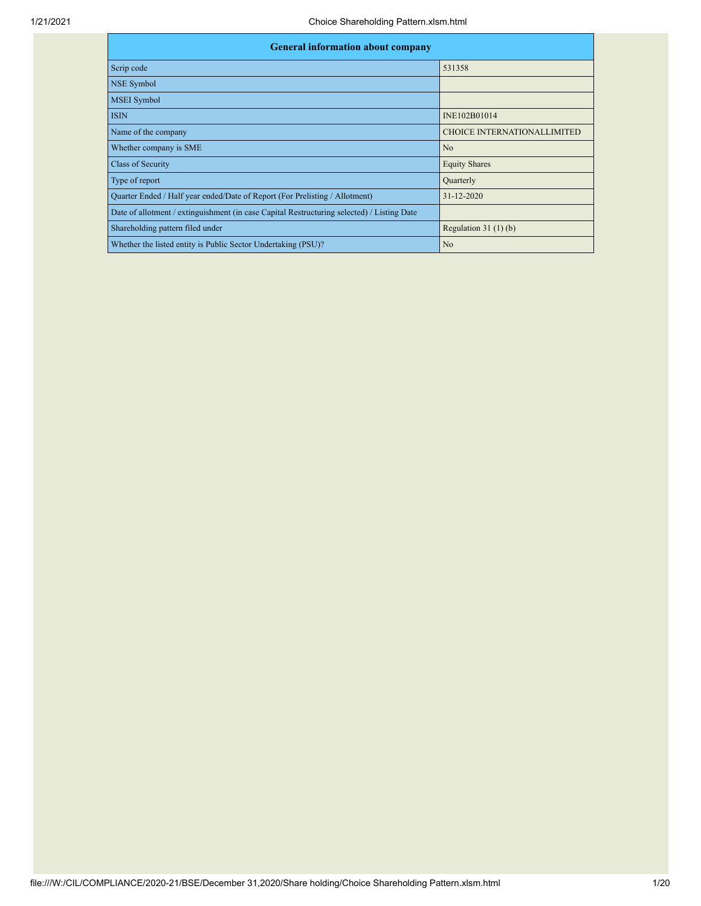| <b>General information about company</b>                                                   |                                    |
|--------------------------------------------------------------------------------------------|------------------------------------|
| Scrip code                                                                                 | 531358                             |
| NSE Symbol                                                                                 |                                    |
| <b>MSEI</b> Symbol                                                                         |                                    |
| <b>ISIN</b>                                                                                | INE102B01014                       |
| Name of the company                                                                        | <b>CHOICE INTERNATIONALLIMITED</b> |
| Whether company is SME                                                                     | No                                 |
| Class of Security                                                                          | <b>Equity Shares</b>               |
| Type of report                                                                             | Quarterly                          |
| Quarter Ended / Half year ended/Date of Report (For Prelisting / Allotment)                | $31 - 12 - 2020$                   |
| Date of allotment / extinguishment (in case Capital Restructuring selected) / Listing Date |                                    |
| Shareholding pattern filed under                                                           | Regulation $31(1)(b)$              |
| Whether the listed entity is Public Sector Undertaking (PSU)?                              | N <sub>o</sub>                     |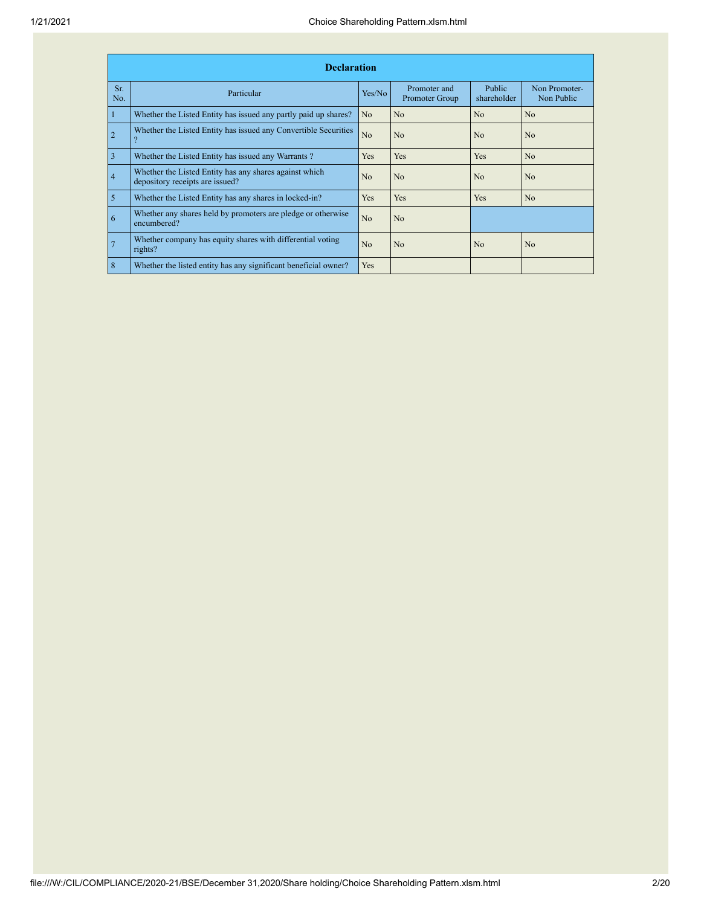|                | <b>Declaration</b>                                                                        |                |                                |                              |                             |
|----------------|-------------------------------------------------------------------------------------------|----------------|--------------------------------|------------------------------|-----------------------------|
| Sr.<br>No.     | Particular                                                                                | Yes/No         | Promoter and<br>Promoter Group | <b>Public</b><br>shareholder | Non Promoter-<br>Non Public |
| $\mathbf{1}$   | Whether the Listed Entity has issued any partly paid up shares?                           | No             | No                             | No                           | N <sub>o</sub>              |
| $\overline{2}$ | Whether the Listed Entity has issued any Convertible Securities<br>$\Omega$               | N <sub>o</sub> | N <sub>o</sub>                 | No                           | No                          |
| $\overline{3}$ | Whether the Listed Entity has issued any Warrants?                                        | <b>Yes</b>     | Yes                            | Yes                          | No                          |
| $\overline{4}$ | Whether the Listed Entity has any shares against which<br>depository receipts are issued? | No             | No                             | No                           | No                          |
| $\overline{5}$ | Whether the Listed Entity has any shares in locked-in?                                    | <b>Yes</b>     | Yes                            | Yes                          | No                          |
| 6              | Whether any shares held by promoters are pledge or otherwise<br>encumbered?               | No             | No                             |                              |                             |
| $\overline{7}$ | Whether company has equity shares with differential voting<br>rights?                     | No             | No                             | N <sub>0</sub>               | No                          |
| 8              | Whether the listed entity has any significant beneficial owner?                           | <b>Yes</b>     |                                |                              |                             |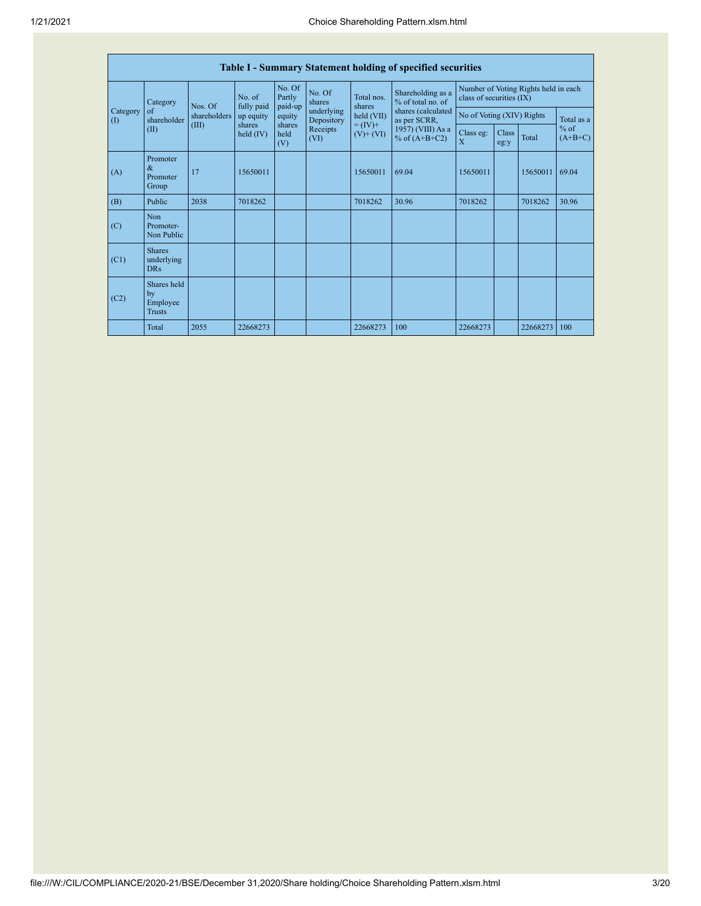|                                        |                                                |              |                       |                                                 |                                                                |                             | Table I - Summary Statement holding of specified securities      |                           |                           |              |                     |            |
|----------------------------------------|------------------------------------------------|--------------|-----------------------|-------------------------------------------------|----------------------------------------------------------------|-----------------------------|------------------------------------------------------------------|---------------------------|---------------------------|--------------|---------------------|------------|
|                                        | Category                                       | Nos. Of      | No. of<br>fully paid  | No. Of<br>No. Of<br>Partly<br>shares<br>paid-up | Shareholding as a<br>Total nos.<br>% of total no. of<br>shares |                             | Number of Voting Rights held in each<br>class of securities (IX) |                           |                           |              |                     |            |
| Category<br>$\left( \mathrm{I}\right)$ | of<br>shareholder                              | shareholders | up equity             | equity                                          | underlying<br>Depository                                       | held (VII)                  | shares (calculated<br>as per SCRR,                               |                           | No of Voting (XIV) Rights |              |                     | Total as a |
|                                        | (II)                                           | (III)        | shares<br>held $(IV)$ | shares<br>held<br>(V)                           | Receipts<br>(VI)                                               | $= (IV) +$<br>$(V)$ + $(V)$ | 1957) (VIII) As a<br>% of $(A+B+C2)$                             | Class eg:<br>$\mathbf{x}$ | Class<br>eg:y             | <b>Total</b> | $%$ of<br>$(A+B+C)$ |            |
| (A)                                    | Promoter<br>$\&$<br>Promoter<br>Group          | 17           | 15650011              |                                                 |                                                                | 15650011                    | 69.04                                                            | 15650011                  |                           | 15650011     | 69.04               |            |
| (B)                                    | Public                                         | 2038         | 7018262               |                                                 |                                                                | 7018262                     | 30.96                                                            | 7018262                   |                           | 7018262      | 30.96               |            |
| (C)                                    | Non<br>Promoter-<br>Non Public                 |              |                       |                                                 |                                                                |                             |                                                                  |                           |                           |              |                     |            |
| (C1)                                   | <b>Shares</b><br>underlying<br><b>DRs</b>      |              |                       |                                                 |                                                                |                             |                                                                  |                           |                           |              |                     |            |
| (C2)                                   | Shares held<br>by<br>Employee<br><b>Trusts</b> |              |                       |                                                 |                                                                |                             |                                                                  |                           |                           |              |                     |            |
|                                        | <b>Total</b>                                   | 2055         | 22668273              |                                                 |                                                                | 22668273                    | 100                                                              | 22668273                  |                           | 22668273     | 100                 |            |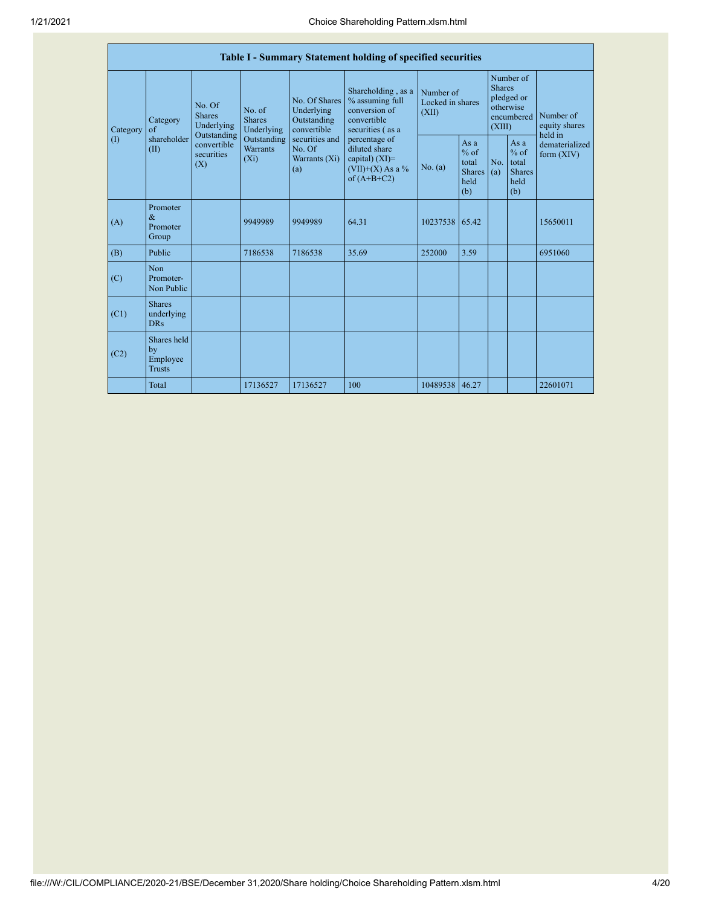|          |                                                |                                                                                                                                                                                                                                                   |                                           |                                                  | Table I - Summary Statement holding of specified securities                                |                                                                               |                                                        |                                       |                                                         |                                |
|----------|------------------------------------------------|---------------------------------------------------------------------------------------------------------------------------------------------------------------------------------------------------------------------------------------------------|-------------------------------------------|--------------------------------------------------|--------------------------------------------------------------------------------------------|-------------------------------------------------------------------------------|--------------------------------------------------------|---------------------------------------|---------------------------------------------------------|--------------------------------|
| Category | Category<br>of                                 | Shareholding, as a<br>No. Of Shares<br>% assuming full<br>No. Of<br>conversion of<br>Underlying<br>No. of<br>(XII)<br><b>Shares</b><br><b>Shares</b><br>Outstanding<br>convertible<br>Underlying<br>Underlying<br>convertible<br>securities (as a |                                           | Number of<br>Locked in shares                    |                                                                                            | Number of<br><b>Shares</b><br>pledged or<br>otherwise<br>encumbered<br>(XIII) |                                                        | Number of<br>equity shares<br>held in |                                                         |                                |
| (1)      | shareholder<br>(II)                            | Outstanding<br>convertible<br>securities<br>(X)                                                                                                                                                                                                   | Outstanding<br><b>Warrants</b><br>$(X_i)$ | securities and<br>No. Of<br>Warrants (Xi)<br>(a) | percentage of<br>diluted share<br>capital) $(XI)$ =<br>$(VII)+(X)$ As a %<br>of $(A+B+C2)$ | No. (a)                                                                       | Asa<br>$%$ of<br>total<br><b>Shares</b><br>held<br>(b) | No.<br>(a)                            | As a<br>$%$ of<br>total<br><b>Shares</b><br>held<br>(b) | dematerialized<br>form $(XIV)$ |
| (A)      | Promoter<br>$\&$<br>Promoter<br>Group          |                                                                                                                                                                                                                                                   | 9949989                                   | 9949989                                          | 64.31                                                                                      | 10237538                                                                      | 65.42                                                  |                                       |                                                         | 15650011                       |
| (B)      | Public                                         |                                                                                                                                                                                                                                                   | 7186538                                   | 7186538                                          | 35.69                                                                                      | 252000                                                                        | 3.59                                                   |                                       |                                                         | 6951060                        |
| (C)      | Non<br>Promoter-<br>Non Public                 |                                                                                                                                                                                                                                                   |                                           |                                                  |                                                                                            |                                                                               |                                                        |                                       |                                                         |                                |
| (C1)     | <b>Shares</b><br>underlying<br><b>DRs</b>      |                                                                                                                                                                                                                                                   |                                           |                                                  |                                                                                            |                                                                               |                                                        |                                       |                                                         |                                |
| (C2)     | Shares held<br>by<br>Employee<br><b>Trusts</b> |                                                                                                                                                                                                                                                   |                                           |                                                  |                                                                                            |                                                                               |                                                        |                                       |                                                         |                                |
|          | Total                                          |                                                                                                                                                                                                                                                   | 17136527                                  | 17136527                                         | 100                                                                                        | 10489538                                                                      | 46.27                                                  |                                       |                                                         | 22601071                       |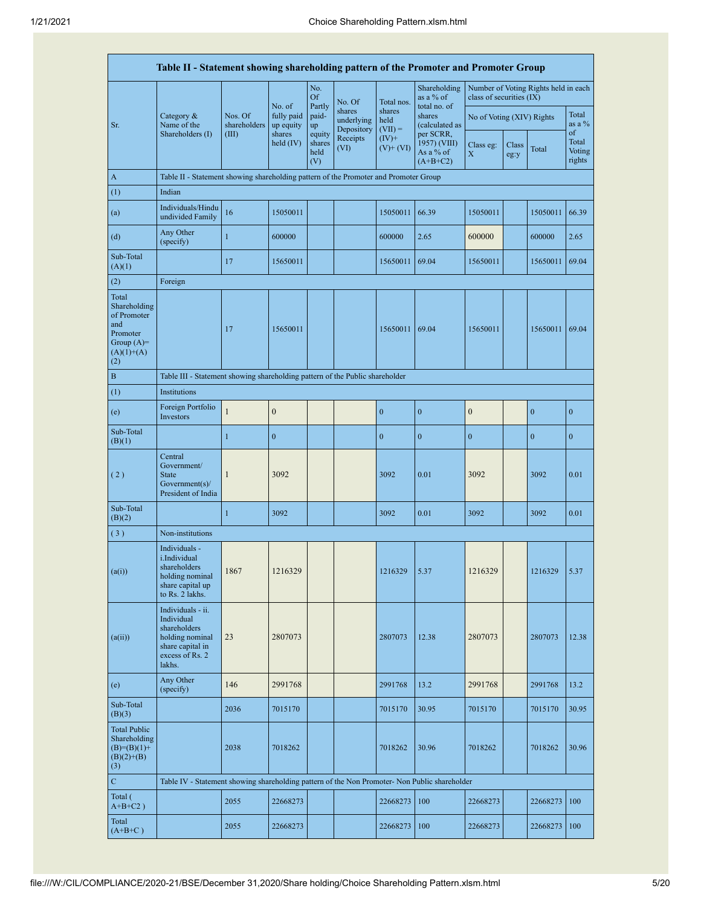|                                                                                                | Table II - Statement showing shareholding pattern of the Promoter and Promoter Group                                |                                  |                                   |                            |                                    |                             |                                           |                                        |               |                                      |                           |
|------------------------------------------------------------------------------------------------|---------------------------------------------------------------------------------------------------------------------|----------------------------------|-----------------------------------|----------------------------|------------------------------------|-----------------------------|-------------------------------------------|----------------------------------------|---------------|--------------------------------------|---------------------------|
|                                                                                                |                                                                                                                     |                                  | No. of                            | No.<br><b>Of</b><br>Partly | No. Of                             | Total nos.                  | Shareholding<br>as a % of<br>total no. of | class of securities (IX)               |               | Number of Voting Rights held in each |                           |
| Sr.                                                                                            | Category $\&$<br>Name of the<br>Shareholders (I)                                                                    | Nos. Of<br>shareholders<br>(III) | fully paid<br>up equity<br>shares | paid-<br>up<br>equity      | shares<br>underlying<br>Depository | shares<br>held<br>$(VII) =$ | shares<br>(calculated as<br>per SCRR,     | No of Voting (XIV) Rights              |               |                                      | Total<br>as a %<br>of     |
|                                                                                                |                                                                                                                     |                                  | held $(IV)$                       | shares<br>held<br>(V)      | Receipts<br>(VI)                   | $(IV)$ +<br>$(V)$ + $(V)$   | 1957) (VIII)<br>As a % of<br>$(A+B+C2)$   | Class eg:<br>$\boldsymbol{\mathrm{X}}$ | Class<br>eg:y | Total                                | Total<br>Voting<br>rights |
| $\mathbf{A}$                                                                                   | Table II - Statement showing shareholding pattern of the Promoter and Promoter Group                                |                                  |                                   |                            |                                    |                             |                                           |                                        |               |                                      |                           |
| (1)                                                                                            | Indian                                                                                                              |                                  |                                   |                            |                                    |                             |                                           |                                        |               |                                      |                           |
| (a)                                                                                            | Individuals/Hindu<br>undivided Family                                                                               | 16                               | 15050011                          |                            |                                    | 15050011                    | 66.39                                     | 15050011                               |               | 15050011                             | 66.39                     |
| (d)                                                                                            | Any Other<br>(specify)                                                                                              | $\mathbf{1}$                     | 600000                            |                            |                                    | 600000                      | 2.65                                      | 600000                                 |               | 600000                               | 2.65                      |
| Sub-Total<br>(A)(1)                                                                            |                                                                                                                     | 17                               | 15650011                          |                            |                                    | 15650011                    | 69.04                                     | 15650011                               |               | 15650011                             | 69.04                     |
| (2)                                                                                            | Foreign                                                                                                             |                                  |                                   |                            |                                    |                             |                                           |                                        |               |                                      |                           |
| Total<br>Shareholding<br>of Promoter<br>and<br>Promoter<br>Group $(A)=$<br>$(A)(1)+(A)$<br>(2) |                                                                                                                     | 17                               | 15650011                          |                            |                                    | 15650011                    | 69.04                                     | 15650011                               |               | 15650011                             | 69.04                     |
| $\, {\bf B}$                                                                                   | Table III - Statement showing shareholding pattern of the Public shareholder                                        |                                  |                                   |                            |                                    |                             |                                           |                                        |               |                                      |                           |
| (1)                                                                                            | Institutions                                                                                                        |                                  |                                   |                            |                                    |                             |                                           |                                        |               |                                      |                           |
| (e)                                                                                            | Foreign Portfolio<br>Investors                                                                                      | $\mathbf{1}$                     | $\mathbf{0}$                      |                            |                                    | $\boldsymbol{0}$            | $\mathbf{0}$                              | $\mathbf{0}$                           |               | $\mathbf{0}$                         | $\mathbf{0}$              |
| Sub-Total<br>(B)(1)                                                                            |                                                                                                                     | $\mathbf{1}$                     | $\boldsymbol{0}$                  |                            |                                    | $\boldsymbol{0}$            | $\boldsymbol{0}$                          | $\boldsymbol{0}$                       |               | $\boldsymbol{0}$                     | $\boldsymbol{0}$          |
| (2)                                                                                            | Central<br>Government/<br><b>State</b><br>Government(s)<br>President of India                                       | 1                                | 3092                              |                            |                                    | 3092                        | 0.01                                      | 3092                                   |               | 3092                                 | 0.01                      |
| Sub-Total<br>(B)(2)                                                                            |                                                                                                                     | $\mathbf{1}$                     | 3092                              |                            |                                    | 3092                        | 0.01                                      | 3092                                   |               | 3092                                 | 0.01                      |
| (3)                                                                                            | Non-institutions                                                                                                    |                                  |                                   |                            |                                    |                             |                                           |                                        |               |                                      |                           |
| (a(i))                                                                                         | Individuals -<br>i.Individual<br>shareholders<br>holding nominal<br>share capital up<br>to Rs. 2 lakhs.             | 1867                             | 1216329                           |                            |                                    | 1216329                     | 5.37                                      | 1216329                                |               | 1216329                              | 5.37                      |
| (a(ii))                                                                                        | Individuals - ii.<br>Individual<br>shareholders<br>holding nominal<br>share capital in<br>excess of Rs. 2<br>lakhs. | 23                               | 2807073                           |                            |                                    | 2807073                     | 12.38                                     | 2807073                                |               | 2807073                              | 12.38                     |
| (e)                                                                                            | Any Other<br>(specify)                                                                                              | 146                              | 2991768                           |                            |                                    | 2991768                     | 13.2                                      | 2991768                                |               | 2991768                              | 13.2                      |
| Sub-Total<br>(B)(3)                                                                            |                                                                                                                     | 2036                             | 7015170                           |                            |                                    | 7015170                     | 30.95                                     | 7015170                                |               | 7015170                              | 30.95                     |
| <b>Total Public</b><br>Shareholding<br>$(B)= (B)(1) +$<br>$(B)(2)+(B)$<br>(3)                  |                                                                                                                     | 2038                             | 7018262                           |                            |                                    | 7018262                     | 30.96                                     | 7018262                                |               | 7018262                              | 30.96                     |
| $\mathbf C$                                                                                    | Table IV - Statement showing shareholding pattern of the Non Promoter- Non Public shareholder                       |                                  |                                   |                            |                                    |                             |                                           |                                        |               |                                      |                           |
| Total (<br>$A+B+C2$ )                                                                          |                                                                                                                     | 2055                             | 22668273                          |                            |                                    | 22668273                    | 100                                       | 22668273                               |               | 22668273                             | 100                       |
| Total<br>$(A+B+C)$                                                                             |                                                                                                                     | 2055                             | 22668273                          |                            |                                    | 22668273                    | 100                                       | 22668273                               |               | 22668273                             | 100                       |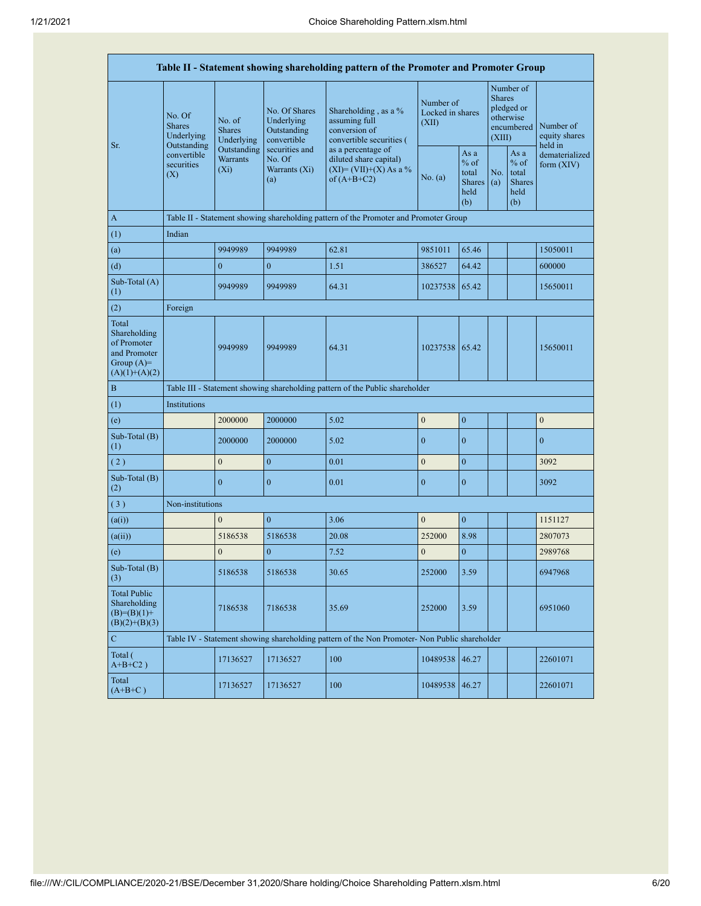|                                                                                         |                                                      |                                           |                                                           | Table II - Statement showing shareholding pattern of the Promoter and Promoter Group          |                  |                                                                                                                                  |  |                                                                               |                                       |
|-----------------------------------------------------------------------------------------|------------------------------------------------------|-------------------------------------------|-----------------------------------------------------------|-----------------------------------------------------------------------------------------------|------------------|----------------------------------------------------------------------------------------------------------------------------------|--|-------------------------------------------------------------------------------|---------------------------------------|
| Sr.                                                                                     | No. Of<br><b>Shares</b><br>Underlying<br>Outstanding | No. of<br><b>Shares</b><br>Underlying     | No. Of Shares<br>Underlying<br>Outstanding<br>convertible | Shareholding, as a %<br>assuming full<br>conversion of<br>convertible securities (            |                  | Number of<br>Locked in shares<br>(XII)                                                                                           |  | Number of<br><b>Shares</b><br>pledged or<br>otherwise<br>encumbered<br>(XIII) | Number of<br>equity shares<br>held in |
|                                                                                         | convertible<br>securities<br>(X)                     | Outstanding<br><b>Warrants</b><br>$(X_i)$ | securities and<br>No. Of<br>Warrants (Xi)<br>(a)          | as a percentage of<br>diluted share capital)<br>$(XI)=(VII)+(X)$ As a %<br>of $(A+B+C2)$      | No. (a)          | As a<br>As a<br>$%$ of<br>$%$ of<br>No.<br>total<br>total<br><b>Shares</b><br><b>Shares</b><br>(a)<br>held<br>held<br>(b)<br>(b) |  | dematerialized<br>form $(XIV)$                                                |                                       |
| $\mathbf{A}$                                                                            |                                                      |                                           |                                                           | Table II - Statement showing shareholding pattern of the Promoter and Promoter Group          |                  |                                                                                                                                  |  |                                                                               |                                       |
| (1)                                                                                     | Indian                                               |                                           |                                                           |                                                                                               |                  |                                                                                                                                  |  |                                                                               |                                       |
| (a)                                                                                     |                                                      | 9949989                                   | 9949989                                                   | 62.81                                                                                         | 9851011          | 65.46                                                                                                                            |  |                                                                               | 15050011                              |
| (d)                                                                                     |                                                      | $\boldsymbol{0}$                          | $\overline{0}$                                            | 1.51                                                                                          | 386527           | 64.42                                                                                                                            |  |                                                                               | 600000                                |
| Sub-Total (A)<br>(1)                                                                    |                                                      | 9949989                                   | 9949989                                                   | 64.31                                                                                         | 10237538         | 65.42                                                                                                                            |  |                                                                               | 15650011                              |
| (2)                                                                                     | Foreign                                              |                                           |                                                           |                                                                                               |                  |                                                                                                                                  |  |                                                                               |                                       |
| Total<br>Shareholding<br>of Promoter<br>and Promoter<br>Group $(A)=$<br>$(A)(1)+(A)(2)$ |                                                      | 9949989                                   | 9949989                                                   | 64.31                                                                                         | 10237538         | 65.42                                                                                                                            |  |                                                                               | 15650011                              |
| $\bf{B}$                                                                                |                                                      |                                           |                                                           | Table III - Statement showing shareholding pattern of the Public shareholder                  |                  |                                                                                                                                  |  |                                                                               |                                       |
| (1)                                                                                     | Institutions                                         |                                           |                                                           |                                                                                               |                  |                                                                                                                                  |  |                                                                               |                                       |
| (e)                                                                                     |                                                      | 2000000                                   | 2000000                                                   | 5.02                                                                                          | $\boldsymbol{0}$ | $\overline{0}$                                                                                                                   |  |                                                                               | $\boldsymbol{0}$                      |
| Sub-Total (B)<br>(1)                                                                    |                                                      | 2000000                                   | 2000000                                                   | 5.02                                                                                          | $\overline{0}$   | $\mathbf{0}$                                                                                                                     |  |                                                                               | $\boldsymbol{0}$                      |
| (2)                                                                                     |                                                      | $\mathbf{0}$                              | $\overline{0}$                                            | 0.01                                                                                          | $\boldsymbol{0}$ | $\overline{0}$                                                                                                                   |  |                                                                               | 3092                                  |
| Sub-Total (B)<br>(2)                                                                    |                                                      | $\boldsymbol{0}$                          | $\boldsymbol{0}$                                          | 0.01                                                                                          | $\boldsymbol{0}$ | $\boldsymbol{0}$                                                                                                                 |  |                                                                               | 3092                                  |
| (3)                                                                                     | Non-institutions                                     |                                           |                                                           |                                                                                               |                  |                                                                                                                                  |  |                                                                               |                                       |
| (a(i))                                                                                  |                                                      | $\mathbf{0}$                              | $\boldsymbol{0}$                                          | 3.06                                                                                          | $\boldsymbol{0}$ | $\boldsymbol{0}$                                                                                                                 |  |                                                                               | 1151127                               |
| (a(ii))                                                                                 |                                                      | 5186538                                   | 5186538                                                   | 20.08                                                                                         | 252000           | 8.98                                                                                                                             |  |                                                                               | 2807073                               |
| (e)                                                                                     |                                                      | $\boldsymbol{0}$                          | $\boldsymbol{0}$                                          | 7.52                                                                                          | $\boldsymbol{0}$ | $\boldsymbol{0}$                                                                                                                 |  |                                                                               | 2989768                               |
| Sub-Total (B)<br>(3)                                                                    |                                                      | 5186538                                   | 5186538                                                   | 30.65                                                                                         | 252000           | 3.59                                                                                                                             |  |                                                                               | 6947968                               |
| <b>Total Public</b><br>Shareholding<br>$(B)= (B)(1) +$<br>$(B)(2)+(B)(3)$               |                                                      | 7186538                                   | 7186538                                                   | 35.69                                                                                         | 252000           | 3.59                                                                                                                             |  |                                                                               | 6951060                               |
| $\mathbf C$                                                                             |                                                      |                                           |                                                           | Table IV - Statement showing shareholding pattern of the Non Promoter- Non Public shareholder |                  |                                                                                                                                  |  |                                                                               |                                       |
| Total (<br>$A+B+C2$ )                                                                   |                                                      | 17136527                                  | 17136527                                                  | 100                                                                                           | 10489538         | 46.27                                                                                                                            |  |                                                                               | 22601071                              |
| Total<br>$(A+B+C)$                                                                      |                                                      | 17136527                                  | 17136527                                                  | 100                                                                                           | 10489538         | 46.27                                                                                                                            |  |                                                                               | 22601071                              |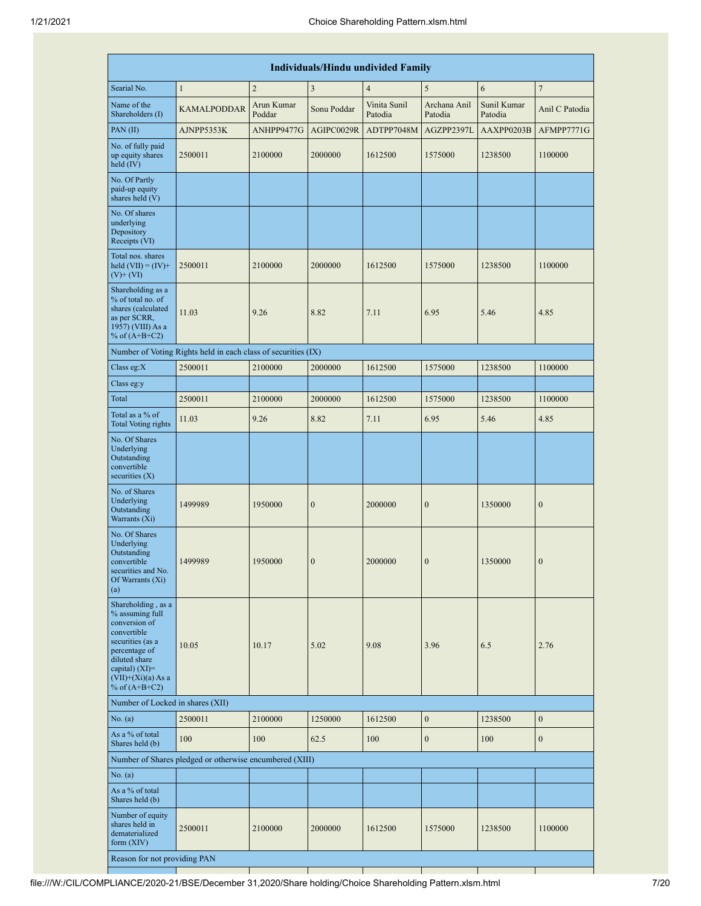|                                                                                                                                                                                            |                                                               |                      |                  | <b>Individuals/Hindu undivided Family</b> |                         |                        |                  |
|--------------------------------------------------------------------------------------------------------------------------------------------------------------------------------------------|---------------------------------------------------------------|----------------------|------------------|-------------------------------------------|-------------------------|------------------------|------------------|
| Searial No.                                                                                                                                                                                | $\mathbf{1}$                                                  | $\overline{2}$       | 3                | $\overline{4}$                            | 5                       | 6                      | $7\phantom{.0}$  |
| Name of the<br>Shareholders (I)                                                                                                                                                            | <b>KAMALPODDAR</b>                                            | Arun Kumar<br>Poddar | Sonu Poddar      | Vinita Sunil<br>Patodia                   | Archana Anil<br>Patodia | Sunil Kumar<br>Patodia | Anil C Patodia   |
| PAN(II)                                                                                                                                                                                    | AJNPP5353K                                                    | ANHPP9477G           | AGIPC0029R       | ADTPP7048M                                | AGZPP2397L              | AAXPP0203B             | AFMPP7771G       |
| No. of fully paid<br>up equity shares<br>held (IV)                                                                                                                                         | 2500011                                                       | 2100000              | 2000000          | 1612500                                   | 1575000                 | 1238500                | 1100000          |
| No. Of Partly<br>paid-up equity<br>shares held (V)                                                                                                                                         |                                                               |                      |                  |                                           |                         |                        |                  |
| No. Of shares<br>underlying<br>Depository<br>Receipts (VI)                                                                                                                                 |                                                               |                      |                  |                                           |                         |                        |                  |
| Total nos. shares<br>held $(VII) = (IV) +$<br>$(V)$ + $(VI)$                                                                                                                               | 2500011                                                       | 2100000              | 2000000          | 1612500                                   | 1575000                 | 1238500                | 1100000          |
| Shareholding as a<br>% of total no. of<br>shares (calculated<br>as per SCRR,<br>1957) (VIII) As a<br>% of $(A+B+C2)$                                                                       | 11.03                                                         | 9.26                 | 8.82             | 7.11                                      | 6.95                    | 5.46                   | 4.85             |
|                                                                                                                                                                                            | Number of Voting Rights held in each class of securities (IX) |                      |                  |                                           |                         |                        |                  |
| Class eg: $X$                                                                                                                                                                              | 2500011                                                       | 2100000              | 2000000          | 1612500                                   | 1575000                 | 1238500                | 1100000          |
| Class eg:y                                                                                                                                                                                 |                                                               |                      |                  |                                           |                         |                        |                  |
| Total                                                                                                                                                                                      | 2500011                                                       | 2100000              | 2000000          | 1612500                                   | 1575000                 | 1238500                | 1100000          |
| Total as a % of<br><b>Total Voting rights</b>                                                                                                                                              | 11.03                                                         | 9.26                 | 8.82             | 7.11                                      | 6.95                    | 5.46                   | 4.85             |
| No. Of Shares<br>Underlying<br>Outstanding<br>convertible<br>securities $(X)$                                                                                                              |                                                               |                      |                  |                                           |                         |                        |                  |
| No. of Shares<br>Underlying<br>Outstanding<br>Warrants (Xi)                                                                                                                                | 1499989                                                       | 1950000              | $\boldsymbol{0}$ | 2000000                                   | $\boldsymbol{0}$        | 1350000                | $\mathbf{0}$     |
| No. Of Shares<br>Underlying<br>Outstanding<br>convertible<br>securities and No.<br>Of Warrants (Xi)<br>(a)                                                                                 | 1499989                                                       | 1950000              | $\boldsymbol{0}$ | 2000000                                   | $\boldsymbol{0}$        | 1350000                | $\boldsymbol{0}$ |
| Shareholding, as a<br>% assuming full<br>conversion of<br>convertible<br>securities (as a<br>percentage of<br>diluted share<br>capital) $(XI)=$<br>$(VII)+(Xi)(a)$ As a<br>% of $(A+B+C2)$ | 10.05                                                         | 10.17                | 5.02             | 9.08                                      | 3.96                    | 6.5                    | 2.76             |
| Number of Locked in shares (XII)                                                                                                                                                           |                                                               |                      |                  |                                           |                         |                        |                  |
| No. (a)                                                                                                                                                                                    | 2500011                                                       | 2100000              | 1250000          | 1612500                                   | $\boldsymbol{0}$        | 1238500                | $\mathbf{0}$     |
| As a % of total<br>Shares held (b)                                                                                                                                                         | 100                                                           | 100                  | 62.5             | 100                                       | $\boldsymbol{0}$        | 100                    | $\mathbf{0}$     |
|                                                                                                                                                                                            | Number of Shares pledged or otherwise encumbered (XIII)       |                      |                  |                                           |                         |                        |                  |
| No. (a)                                                                                                                                                                                    |                                                               |                      |                  |                                           |                         |                        |                  |
| As a % of total<br>Shares held (b)                                                                                                                                                         |                                                               |                      |                  |                                           |                         |                        |                  |
| Number of equity<br>shares held in<br>dematerialized<br>form (XIV)                                                                                                                         | 2500011                                                       | 2100000              | 2000000          | 1612500                                   | 1575000                 | 1238500                | 1100000          |
| Reason for not providing PAN                                                                                                                                                               |                                                               |                      |                  |                                           |                         |                        |                  |

file:///W:/CIL/COMPLIANCE/2020-21/BSE/December 31,2020/Share holding/Choice Shareholding Pattern.xlsm.html 7/20

a Ta

an parti

 $\blacksquare$ 

a pro

 $\overline{\phantom{a}}$ 

 $\mathbb{R}^n$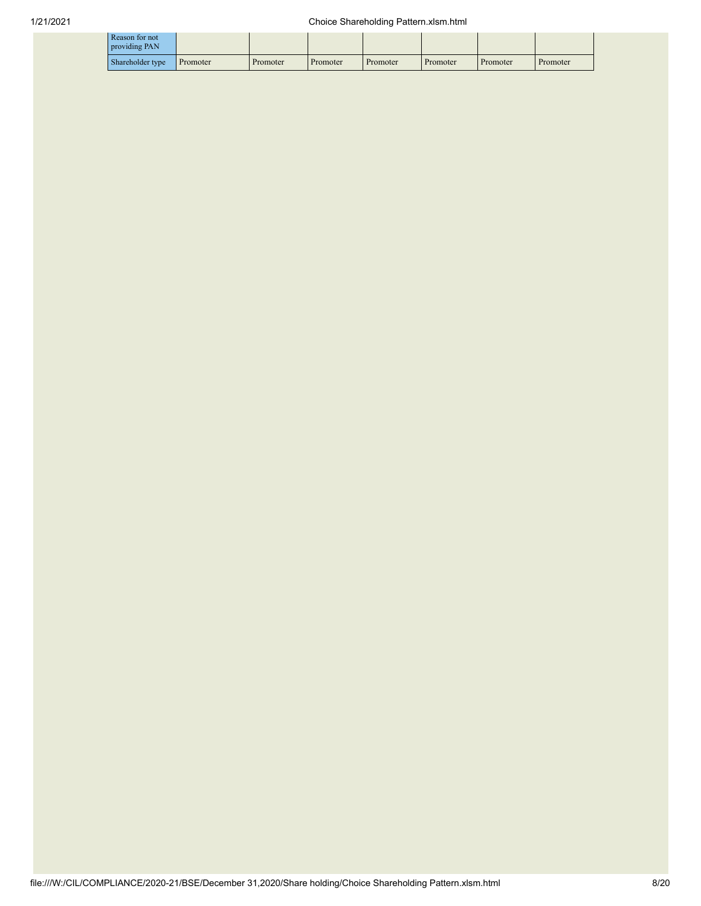| Reason for not<br>providing PAN |          |          |          |          |          |          |          |
|---------------------------------|----------|----------|----------|----------|----------|----------|----------|
| Shareholder type                | Promoter | Promoter | Promoter | Promoter | Promoter | Promoter | Promoter |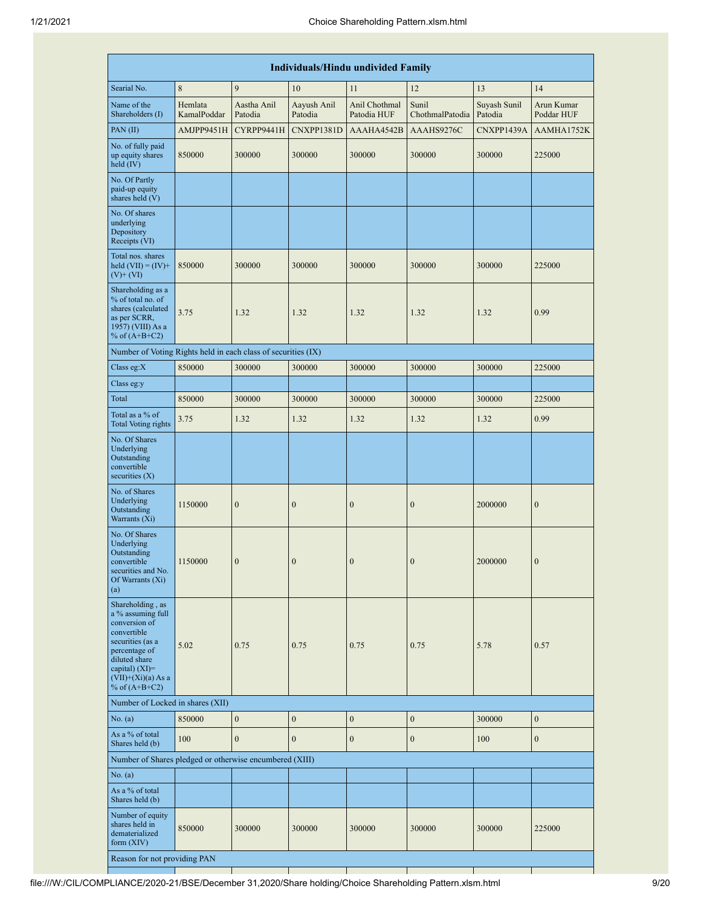|                                                                                                                                                                                            | <b>Individuals/Hindu undivided Family</b> |                        |                        |                              |                          |                         |                          |  |  |  |
|--------------------------------------------------------------------------------------------------------------------------------------------------------------------------------------------|-------------------------------------------|------------------------|------------------------|------------------------------|--------------------------|-------------------------|--------------------------|--|--|--|
| Searial No.                                                                                                                                                                                | 8                                         | $\mathbf{Q}$           | 10                     | 11                           | 12                       | 13                      | 14                       |  |  |  |
| Name of the<br>Shareholders (I)                                                                                                                                                            | Hemlata<br>KamalPoddar                    | Aastha Anil<br>Patodia | Aayush Anil<br>Patodia | Anil Chothmal<br>Patodia HUF | Sunil<br>ChothmalPatodia | Suyash Sunil<br>Patodia | Arun Kumar<br>Poddar HUF |  |  |  |
| PAN(II)                                                                                                                                                                                    | AMJPP9451H                                | CYRPP9441H             | CNXPP1381D             | AAAHA4542B                   | AAAHS9276C               | CNXPP1439A              | AAMHA1752K               |  |  |  |
| No. of fully paid<br>up equity shares<br>held (IV)                                                                                                                                         | 850000                                    | 300000                 | 300000                 | 300000                       | 300000                   | 300000                  | 225000                   |  |  |  |
| No. Of Partly<br>paid-up equity<br>shares held (V)                                                                                                                                         |                                           |                        |                        |                              |                          |                         |                          |  |  |  |
| No. Of shares<br>underlying<br>Depository<br>Receipts (VI)                                                                                                                                 |                                           |                        |                        |                              |                          |                         |                          |  |  |  |
| Total nos. shares<br>held $(VII) = (IV) +$<br>$(V)$ + $(VI)$                                                                                                                               | 850000                                    | 300000                 | 300000                 | 300000                       | 300000                   | 300000                  | 225000                   |  |  |  |
| Shareholding as a<br>% of total no. of<br>shares (calculated<br>as per SCRR,<br>1957) (VIII) As a<br>% of $(A+B+C2)$                                                                       | 3.75                                      | 1.32                   | 1.32                   | 1.32                         | 1.32                     | 1.32                    | 0.99                     |  |  |  |
| Number of Voting Rights held in each class of securities (IX)                                                                                                                              |                                           |                        |                        |                              |                          |                         |                          |  |  |  |
| Class eg: $X$                                                                                                                                                                              | 850000                                    | 300000                 | 300000                 | 300000                       | 300000                   | 300000                  | 225000                   |  |  |  |
| Class eg:y                                                                                                                                                                                 |                                           |                        |                        |                              |                          |                         |                          |  |  |  |
| Total                                                                                                                                                                                      | 850000                                    | 300000                 | 300000                 | 300000                       | 300000                   | 300000                  | 225000                   |  |  |  |
| Total as a % of<br><b>Total Voting rights</b>                                                                                                                                              | 3.75                                      | 1.32                   | 1.32                   | 1.32                         | 1.32                     | 1.32                    | 0.99                     |  |  |  |
| No. Of Shares<br>Underlying<br>Outstanding<br>convertible<br>securities $(X)$                                                                                                              |                                           |                        |                        |                              |                          |                         |                          |  |  |  |
| No. of Shares<br>Underlying<br>Outstanding<br>Warrants (Xi)                                                                                                                                | 1150000                                   | $\boldsymbol{0}$       | $\mathbf{0}$           | $\boldsymbol{0}$             | $\boldsymbol{0}$         | 2000000                 | $\boldsymbol{0}$         |  |  |  |
| No. Of Shares<br>Underlying<br>Outstanding<br>convertible<br>securities and No.<br>Of Warrants (Xi)<br>(a)                                                                                 | 1150000                                   | $\boldsymbol{0}$       | $\boldsymbol{0}$       | $\boldsymbol{0}$             | $\mathbf{0}$             | 2000000                 | $\boldsymbol{0}$         |  |  |  |
| Shareholding, as<br>a % assuming full<br>conversion of<br>convertible<br>securities (as a<br>percentage of<br>diluted share<br>capital) $(XI)=$<br>$(VII)+(Xi)(a) As a$<br>% of $(A+B+C2)$ | 5.02                                      | 0.75                   | 0.75                   | 0.75                         | 0.75                     | 5.78                    | 0.57                     |  |  |  |
| Number of Locked in shares (XII)                                                                                                                                                           |                                           |                        |                        |                              |                          |                         |                          |  |  |  |
| No. (a)                                                                                                                                                                                    | 850000                                    | $\mathbf{0}$           | $\boldsymbol{0}$       | $\boldsymbol{0}$             | $\boldsymbol{0}$         | 300000                  | $\boldsymbol{0}$         |  |  |  |
| As a % of total<br>Shares held (b)                                                                                                                                                         | 100                                       | $\mathbf{0}$           | $\mathbf{0}$           | $\overline{0}$               | $\boldsymbol{0}$         | 100                     | $\mathbf{0}$             |  |  |  |
| Number of Shares pledged or otherwise encumbered (XIII)                                                                                                                                    |                                           |                        |                        |                              |                          |                         |                          |  |  |  |
| No. (a)                                                                                                                                                                                    |                                           |                        |                        |                              |                          |                         |                          |  |  |  |
| As a % of total<br>Shares held (b)                                                                                                                                                         |                                           |                        |                        |                              |                          |                         |                          |  |  |  |
| Number of equity<br>shares held in<br>dematerialized<br>form $(XIV)$                                                                                                                       | 850000                                    | 300000                 | 300000                 | 300000                       | 300000                   | 300000                  | 225000                   |  |  |  |
| Reason for not providing PAN                                                                                                                                                               |                                           |                        |                        |                              |                          |                         |                          |  |  |  |

file:///W:/CIL/COMPLIANCE/2020-21/BSE/December 31,2020/Share holding/Choice Shareholding Pattern.xlsm.html 9/20

a ka

H.

a provinci

 $\top$ 

a pro

a ka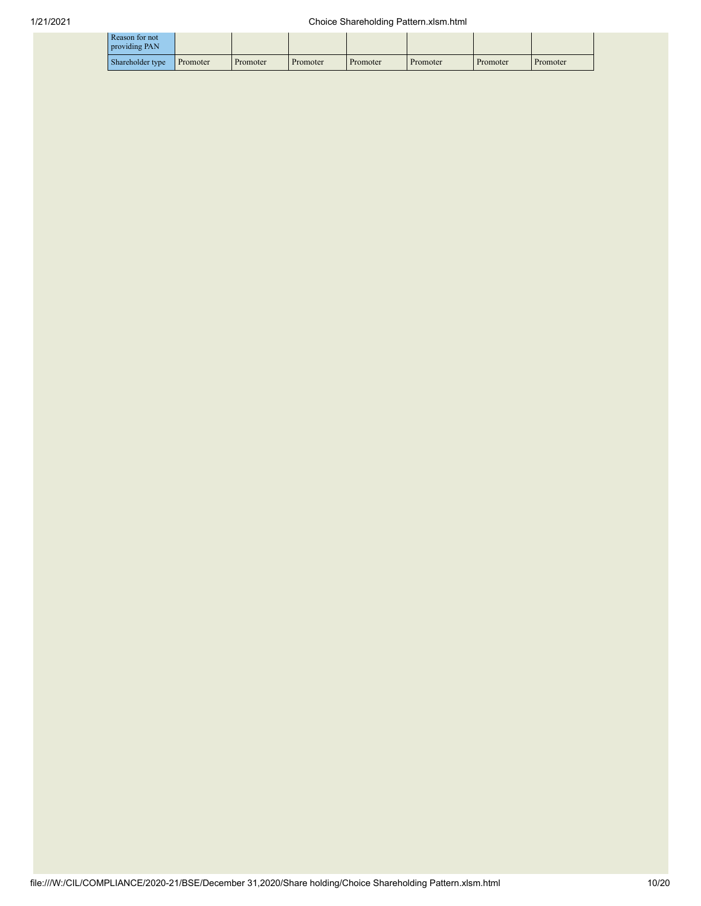| Reason for not<br>providing PAN |          |          |          |          |          |          |          |
|---------------------------------|----------|----------|----------|----------|----------|----------|----------|
| Shareholder type                | Promoter | Promoter | Promoter | Promoter | Promoter | Promoter | Promoter |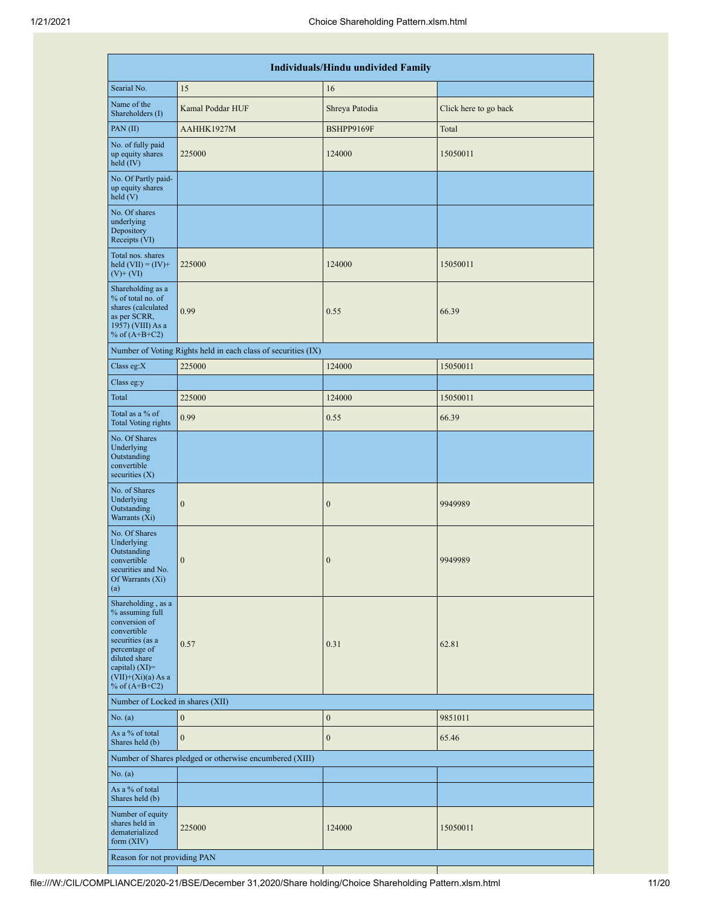|                                                                                                                                                                                            |                                                               | <b>Individuals/Hindu undivided Family</b> |                       |  |  |  |  |  |  |  |  |  |
|--------------------------------------------------------------------------------------------------------------------------------------------------------------------------------------------|---------------------------------------------------------------|-------------------------------------------|-----------------------|--|--|--|--|--|--|--|--|--|
| Searial No.                                                                                                                                                                                | 15                                                            | 16                                        |                       |  |  |  |  |  |  |  |  |  |
| Name of the<br>Shareholders (I)                                                                                                                                                            | Kamal Poddar HUF                                              | Shreya Patodia                            | Click here to go back |  |  |  |  |  |  |  |  |  |
| PAN(II)                                                                                                                                                                                    | AAHHK1927M                                                    | BSHPP9169F                                | Total                 |  |  |  |  |  |  |  |  |  |
| No. of fully paid<br>up equity shares<br>held (IV)                                                                                                                                         | 225000                                                        | 124000                                    | 15050011              |  |  |  |  |  |  |  |  |  |
| No. Of Partly paid-<br>up equity shares<br>$\text{held}(V)$                                                                                                                                |                                                               |                                           |                       |  |  |  |  |  |  |  |  |  |
| No. Of shares<br>underlying<br>Depository<br>Receipts (VI)                                                                                                                                 |                                                               |                                           |                       |  |  |  |  |  |  |  |  |  |
| Total nos. shares<br>held $(VII) = (IV) +$<br>$(V)$ + $(VI)$                                                                                                                               | 225000                                                        | 124000                                    | 15050011              |  |  |  |  |  |  |  |  |  |
| Shareholding as a<br>% of total no. of<br>shares (calculated<br>as per SCRR,<br>1957) (VIII) As a<br>% of $(A+B+C2)$                                                                       | 0.99                                                          | 0.55                                      | 66.39                 |  |  |  |  |  |  |  |  |  |
|                                                                                                                                                                                            | Number of Voting Rights held in each class of securities (IX) |                                           |                       |  |  |  |  |  |  |  |  |  |
| Class eg:X                                                                                                                                                                                 | 225000                                                        | 124000                                    | 15050011              |  |  |  |  |  |  |  |  |  |
| Class eg:y                                                                                                                                                                                 |                                                               |                                           |                       |  |  |  |  |  |  |  |  |  |
| Total                                                                                                                                                                                      | 225000                                                        | 124000                                    | 15050011              |  |  |  |  |  |  |  |  |  |
| Total as a % of<br><b>Total Voting rights</b>                                                                                                                                              | 0.99                                                          | 0.55                                      | 66.39                 |  |  |  |  |  |  |  |  |  |
| No. Of Shares<br>Underlying<br>Outstanding<br>convertible<br>securities $(X)$                                                                                                              |                                                               |                                           |                       |  |  |  |  |  |  |  |  |  |
| No. of Shares<br>Underlying<br>Outstanding<br>Warrants (Xi)                                                                                                                                | $\mathbf{0}$                                                  | $\mathbf{0}$                              | 9949989               |  |  |  |  |  |  |  |  |  |
| No. Of Shares<br>Underlying<br>Outstanding<br>convertible<br>securities and No.<br>Of Warrants (Xi)<br>(a)                                                                                 | $\boldsymbol{0}$                                              | $\boldsymbol{0}$                          | 9949989               |  |  |  |  |  |  |  |  |  |
| Shareholding, as a<br>% assuming full<br>conversion of<br>convertible<br>securities (as a<br>percentage of<br>diluted share<br>capital) $(XI)=$<br>$(VII)+(Xi)(a)$ As a<br>% of $(A+B+C2)$ | 0.57                                                          | 0.31                                      | 62.81                 |  |  |  |  |  |  |  |  |  |
| Number of Locked in shares (XII)                                                                                                                                                           |                                                               |                                           |                       |  |  |  |  |  |  |  |  |  |
| No. (a)                                                                                                                                                                                    | $\boldsymbol{0}$                                              | $\boldsymbol{0}$                          | 9851011               |  |  |  |  |  |  |  |  |  |
| As a % of total<br>Shares held (b)                                                                                                                                                         | $\mathbf{0}$                                                  | $\boldsymbol{0}$                          | 65.46                 |  |  |  |  |  |  |  |  |  |
|                                                                                                                                                                                            | Number of Shares pledged or otherwise encumbered (XIII)       |                                           |                       |  |  |  |  |  |  |  |  |  |
| No. (a)                                                                                                                                                                                    |                                                               |                                           |                       |  |  |  |  |  |  |  |  |  |
| As a % of total<br>Shares held (b)                                                                                                                                                         |                                                               |                                           |                       |  |  |  |  |  |  |  |  |  |
| Number of equity<br>shares held in<br>dematerialized<br>form (XIV)                                                                                                                         | 225000                                                        | 124000                                    | 15050011              |  |  |  |  |  |  |  |  |  |
| Reason for not providing PAN                                                                                                                                                               |                                                               |                                           |                       |  |  |  |  |  |  |  |  |  |

 $\mathbb{R}$ 

 $\mathbf{I}$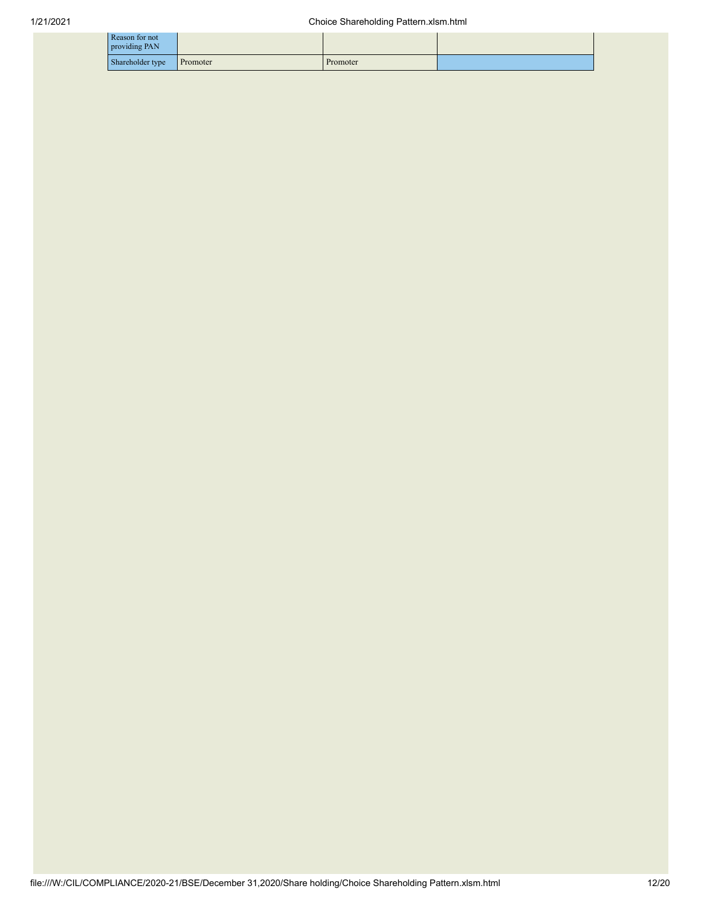| Reason for not<br>providing PAN |          |          |  |
|---------------------------------|----------|----------|--|
| Shareholder type                | Promoter | Promoter |  |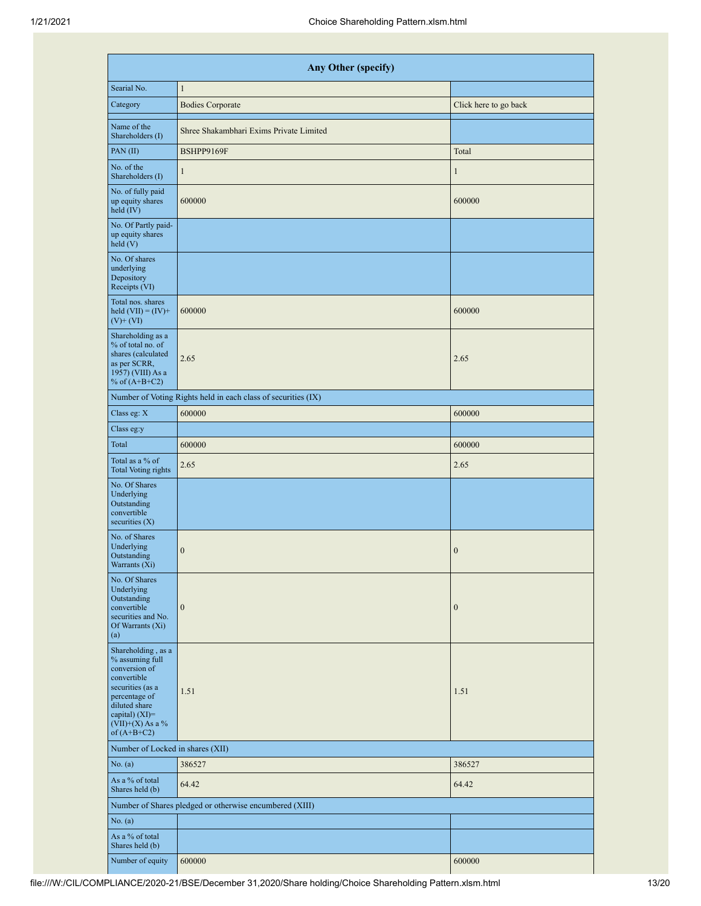| Any Other (specify)                                                                                                                                                                    |                                                               |                       |  |  |  |  |  |  |  |  |
|----------------------------------------------------------------------------------------------------------------------------------------------------------------------------------------|---------------------------------------------------------------|-----------------------|--|--|--|--|--|--|--|--|
| Searial No.                                                                                                                                                                            | $\mathbf{1}$                                                  |                       |  |  |  |  |  |  |  |  |
| Category                                                                                                                                                                               | <b>Bodies Corporate</b>                                       | Click here to go back |  |  |  |  |  |  |  |  |
| Name of the<br>Shareholders (I)                                                                                                                                                        | Shree Shakambhari Exims Private Limited                       |                       |  |  |  |  |  |  |  |  |
| PAN(II)                                                                                                                                                                                | BSHPP9169F                                                    | Total                 |  |  |  |  |  |  |  |  |
| No. of the<br>Shareholders (I)                                                                                                                                                         | $\mathbf{1}$                                                  | $\mathbf{1}$          |  |  |  |  |  |  |  |  |
| No. of fully paid<br>up equity shares<br>held (IV)                                                                                                                                     | 600000                                                        | 600000                |  |  |  |  |  |  |  |  |
| No. Of Partly paid-<br>up equity shares<br>held(V)                                                                                                                                     |                                                               |                       |  |  |  |  |  |  |  |  |
| No. Of shares<br>underlying<br>Depository<br>Receipts (VI)                                                                                                                             |                                                               |                       |  |  |  |  |  |  |  |  |
| Total nos. shares<br>held $(VII) = (IV) +$<br>$(V)$ + $(VI)$                                                                                                                           | 600000                                                        | 600000                |  |  |  |  |  |  |  |  |
| Shareholding as a<br>% of total no. of<br>shares (calculated<br>as per SCRR,<br>1957) (VIII) As a<br>% of $(A+B+C2)$                                                                   | 2.65                                                          | 2.65                  |  |  |  |  |  |  |  |  |
|                                                                                                                                                                                        | Number of Voting Rights held in each class of securities (IX) |                       |  |  |  |  |  |  |  |  |
| Class eg: X                                                                                                                                                                            | 600000                                                        | 600000                |  |  |  |  |  |  |  |  |
| Class eg:y                                                                                                                                                                             |                                                               |                       |  |  |  |  |  |  |  |  |
| Total                                                                                                                                                                                  | 600000                                                        | 600000                |  |  |  |  |  |  |  |  |
| Total as a % of<br><b>Total Voting rights</b>                                                                                                                                          | 2.65                                                          | 2.65                  |  |  |  |  |  |  |  |  |
| No. Of Shares<br>Underlying<br>Outstanding<br>convertible<br>securities $(X)$                                                                                                          |                                                               |                       |  |  |  |  |  |  |  |  |
| No. of Shares<br>Underlying<br>Outstanding<br>Warrants (Xi)                                                                                                                            | $\boldsymbol{0}$                                              | $\boldsymbol{0}$      |  |  |  |  |  |  |  |  |
| No. Of Shares<br>Underlying<br>Outstanding<br>convertible<br>securities and No.<br>Of Warrants (Xi)<br>(a)                                                                             | $\mathbf{0}$                                                  | $\boldsymbol{0}$      |  |  |  |  |  |  |  |  |
| Shareholding, as a<br>% assuming full<br>conversion of<br>convertible<br>securities (as a<br>percentage of<br>diluted share<br>capital) $(XI)=$<br>$(VII)+(X)$ As a %<br>of $(A+B+C2)$ | 1.51                                                          | 1.51                  |  |  |  |  |  |  |  |  |
| Number of Locked in shares (XII)                                                                                                                                                       |                                                               |                       |  |  |  |  |  |  |  |  |
| No. (a)                                                                                                                                                                                | 386527                                                        | 386527                |  |  |  |  |  |  |  |  |
| As a % of total<br>Shares held (b)                                                                                                                                                     | 64.42                                                         | 64.42                 |  |  |  |  |  |  |  |  |
|                                                                                                                                                                                        | Number of Shares pledged or otherwise encumbered (XIII)       |                       |  |  |  |  |  |  |  |  |
| No. (a)                                                                                                                                                                                |                                                               |                       |  |  |  |  |  |  |  |  |
| As a % of total<br>Shares held (b)                                                                                                                                                     |                                                               |                       |  |  |  |  |  |  |  |  |
| Number of equity                                                                                                                                                                       | 600000                                                        | 600000                |  |  |  |  |  |  |  |  |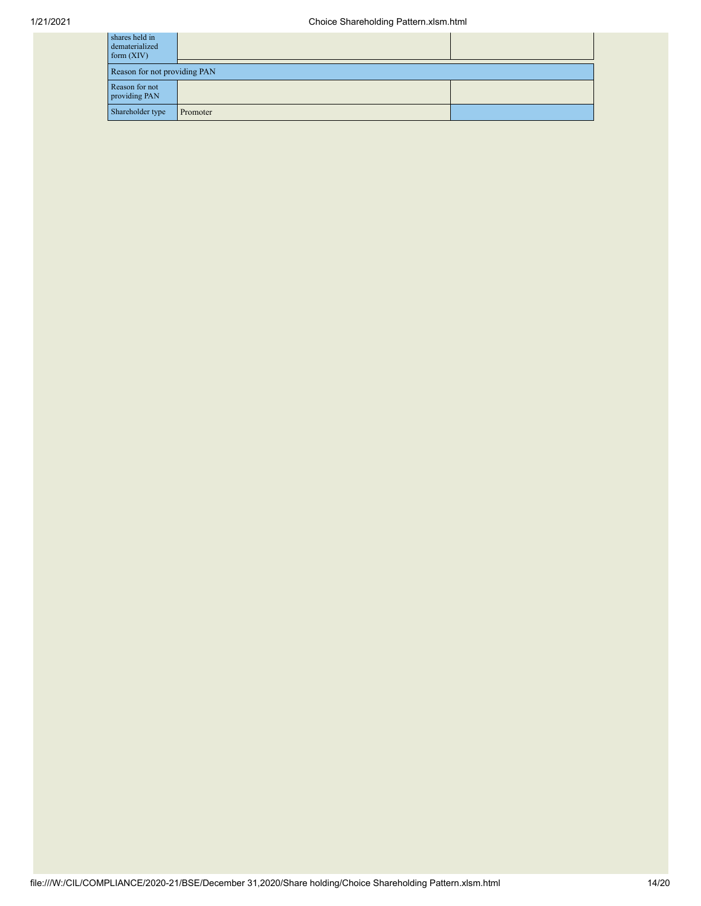| shares held in<br>dematerialized<br>form $(XIV)$ |          |  |
|--------------------------------------------------|----------|--|
| Reason for not providing PAN                     |          |  |
| Reason for not<br>providing PAN                  |          |  |
| Shareholder type                                 | Promoter |  |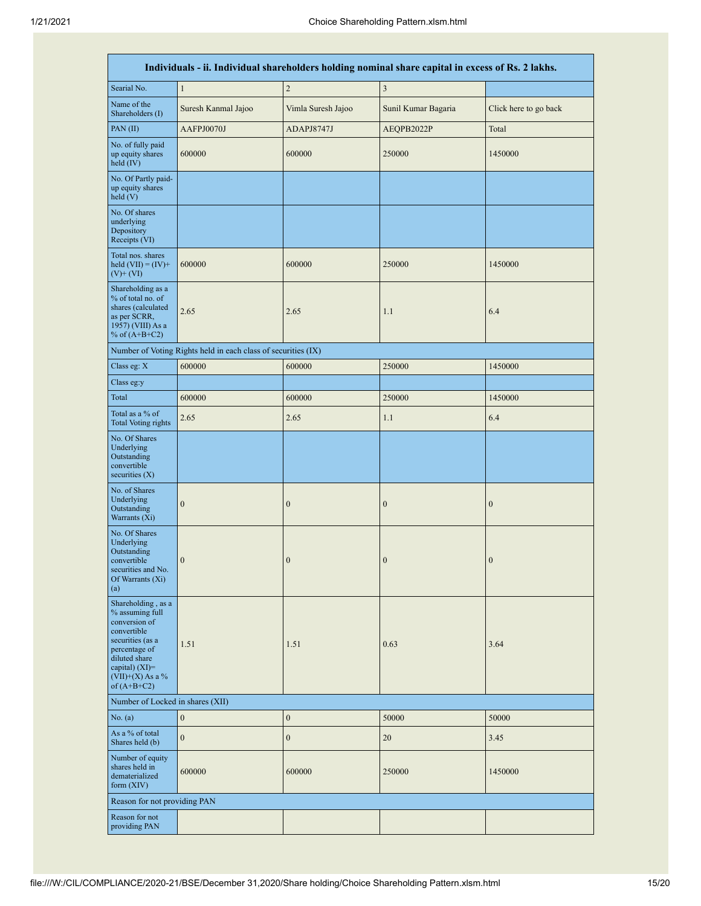п

| Individuals - ii. Individual shareholders holding nominal share capital in excess of Rs. 2 lakhs.                                                                                      |                                                               |                    |                     |                       |  |  |  |  |  |  |
|----------------------------------------------------------------------------------------------------------------------------------------------------------------------------------------|---------------------------------------------------------------|--------------------|---------------------|-----------------------|--|--|--|--|--|--|
| Searial No.                                                                                                                                                                            | $\mathbf{1}$                                                  | $\sqrt{2}$         | $\sqrt{3}$          |                       |  |  |  |  |  |  |
| Name of the<br>Shareholders (I)                                                                                                                                                        | Suresh Kanmal Jajoo                                           | Vimla Suresh Jajoo | Sunil Kumar Bagaria | Click here to go back |  |  |  |  |  |  |
| PAN (II)                                                                                                                                                                               | AAFPJ0070J                                                    | ADAPJ8747J         | AEQPB2022P          | Total                 |  |  |  |  |  |  |
| No. of fully paid<br>up equity shares<br>held (IV)                                                                                                                                     | 600000                                                        | 600000             | 250000              | 1450000               |  |  |  |  |  |  |
| No. Of Partly paid-<br>up equity shares<br>held $(V)$                                                                                                                                  |                                                               |                    |                     |                       |  |  |  |  |  |  |
| No. Of shares<br>underlying<br>Depository<br>Receipts (VI)                                                                                                                             |                                                               |                    |                     |                       |  |  |  |  |  |  |
| Total nos. shares<br>held $(VII) = (IV) +$<br>$(V)$ + $(VI)$                                                                                                                           | 600000                                                        | 600000             | 250000              | 1450000               |  |  |  |  |  |  |
| Shareholding as a<br>% of total no. of<br>shares (calculated<br>as per SCRR,<br>1957) (VIII) As a<br>% of $(A+B+C2)$                                                                   | 2.65                                                          | 2.65               | 1.1                 | 6.4                   |  |  |  |  |  |  |
|                                                                                                                                                                                        | Number of Voting Rights held in each class of securities (IX) |                    |                     |                       |  |  |  |  |  |  |
| Class eg: X                                                                                                                                                                            | 600000                                                        | 600000             | 250000              | 1450000               |  |  |  |  |  |  |
| Class eg:y                                                                                                                                                                             |                                                               |                    |                     |                       |  |  |  |  |  |  |
| Total                                                                                                                                                                                  | 600000                                                        | 600000             | 250000              | 1450000               |  |  |  |  |  |  |
| Total as a % of<br><b>Total Voting rights</b>                                                                                                                                          | 2.65                                                          | 2.65               | 1.1                 | 6.4                   |  |  |  |  |  |  |
| No. Of Shares<br>Underlying<br>Outstanding<br>convertible<br>securities (X)                                                                                                            |                                                               |                    |                     |                       |  |  |  |  |  |  |
| No. of Shares<br>Underlying<br>Outstanding<br>Warrants (Xi)                                                                                                                            | $\mathbf{0}$                                                  | $\boldsymbol{0}$   | $\mathbf{0}$        | $\boldsymbol{0}$      |  |  |  |  |  |  |
| No. Of Shares<br>Underlying<br>Outstanding<br>convertible<br>securities and No.<br>Of Warrants (Xi)<br>(a)                                                                             | $\mathbf{0}$                                                  | $\boldsymbol{0}$   | $\mathbf{0}$        | $\boldsymbol{0}$      |  |  |  |  |  |  |
| Shareholding, as a<br>% assuming full<br>conversion of<br>convertible<br>securities (as a<br>percentage of<br>diluted share<br>capital) $(XI)=$<br>$(VII)+(X)$ As a %<br>of $(A+B+C2)$ | 1.51                                                          | 1.51               | 0.63                | 3.64                  |  |  |  |  |  |  |
| Number of Locked in shares (XII)                                                                                                                                                       |                                                               |                    |                     |                       |  |  |  |  |  |  |
| No. (a)                                                                                                                                                                                | $\mathbf{0}$                                                  | $\boldsymbol{0}$   | 50000               | 50000                 |  |  |  |  |  |  |
| As a % of total<br>Shares held (b)                                                                                                                                                     | $\mathbf{0}$                                                  | $\boldsymbol{0}$   | 20                  | 3.45                  |  |  |  |  |  |  |
| Number of equity<br>shares held in<br>dematerialized<br>form $(XIV)$                                                                                                                   | 600000                                                        | 600000             | 250000              | 1450000               |  |  |  |  |  |  |
| Reason for not providing PAN                                                                                                                                                           |                                                               |                    |                     |                       |  |  |  |  |  |  |
| Reason for not<br>providing PAN                                                                                                                                                        |                                                               |                    |                     |                       |  |  |  |  |  |  |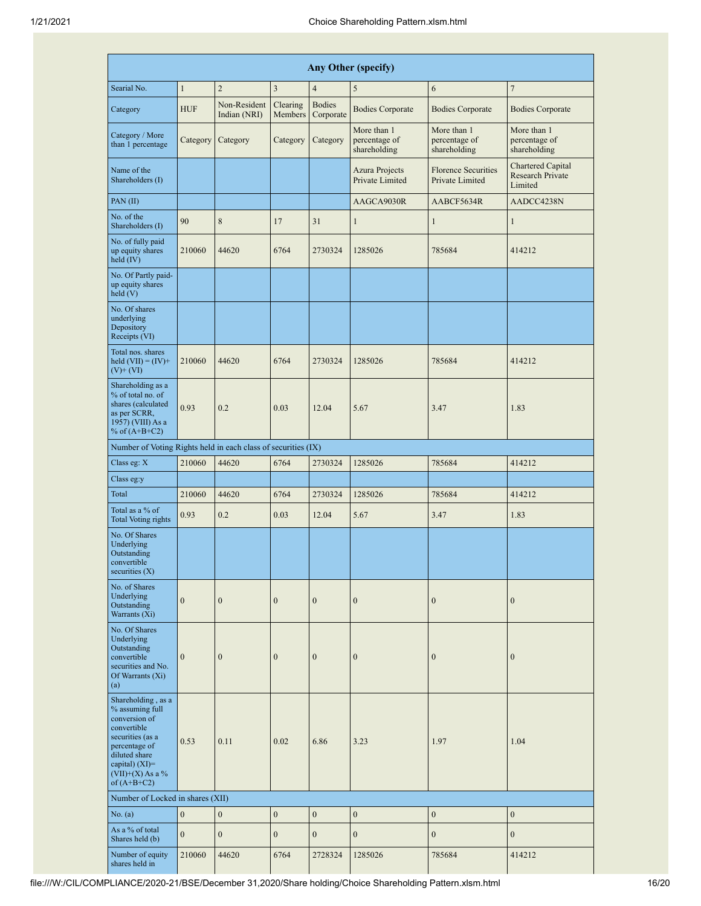| Any Other (specify)                                                                                                                                                                     |                  |                              |                     |                            |                                              |                                               |                                                                |  |  |
|-----------------------------------------------------------------------------------------------------------------------------------------------------------------------------------------|------------------|------------------------------|---------------------|----------------------------|----------------------------------------------|-----------------------------------------------|----------------------------------------------------------------|--|--|
| Searial No.                                                                                                                                                                             | $\mathbf{1}$     | $\overline{2}$               | $\mathfrak z$       | $\overline{4}$             | 5                                            | 6                                             | $\overline{7}$                                                 |  |  |
| Category                                                                                                                                                                                | <b>HUF</b>       | Non-Resident<br>Indian (NRI) | Clearing<br>Members | <b>Bodies</b><br>Corporate | <b>Bodies Corporate</b>                      | <b>Bodies Corporate</b>                       | <b>Bodies Corporate</b>                                        |  |  |
| Category / More<br>than 1 percentage                                                                                                                                                    | Category         | Category                     | Category            | Category                   | More than 1<br>percentage of<br>shareholding | More than 1<br>percentage of<br>shareholding  | More than 1<br>percentage of<br>shareholding                   |  |  |
| Name of the<br>Shareholders (I)                                                                                                                                                         |                  |                              |                     |                            | <b>Azura Projects</b><br>Private Limited     | <b>Florence Securities</b><br>Private Limited | <b>Chartered Capital</b><br><b>Research Private</b><br>Limited |  |  |
| PAN(II)                                                                                                                                                                                 |                  |                              |                     |                            | AAGCA9030R                                   | AABCF5634R                                    | AADCC4238N                                                     |  |  |
| No. of the<br>Shareholders (I)                                                                                                                                                          | 90               | $\,$ 8 $\,$                  | 17                  | 31                         | $\mathbf{1}$                                 | 1                                             | $\mathbf{1}$                                                   |  |  |
| No. of fully paid<br>up equity shares<br>held (IV)                                                                                                                                      | 210060           | 44620                        | 6764                | 2730324                    | 1285026                                      | 785684                                        | 414212                                                         |  |  |
| No. Of Partly paid-<br>up equity shares<br>held(V)                                                                                                                                      |                  |                              |                     |                            |                                              |                                               |                                                                |  |  |
| No. Of shares<br>underlying<br>Depository<br>Receipts (VI)                                                                                                                              |                  |                              |                     |                            |                                              |                                               |                                                                |  |  |
| Total nos. shares<br>held $(VII) = (IV) +$<br>$(V)$ + $(VI)$                                                                                                                            | 210060           | 44620                        | 6764                | 2730324                    | 1285026                                      | 785684                                        | 414212                                                         |  |  |
| Shareholding as a<br>% of total no. of<br>shares (calculated<br>as per SCRR,<br>1957) (VIII) As a<br>% of $(A+B+C2)$                                                                    | 0.93             | 0.2                          | 0.03                | 12.04                      | 5.67                                         | 3.47                                          | 1.83                                                           |  |  |
| Number of Voting Rights held in each class of securities (IX)                                                                                                                           |                  |                              |                     |                            |                                              |                                               |                                                                |  |  |
| Class eg: X                                                                                                                                                                             | 210060           | 44620                        | 6764                | 2730324                    | 1285026                                      | 785684                                        | 414212                                                         |  |  |
| Class eg:y                                                                                                                                                                              |                  |                              |                     |                            |                                              |                                               |                                                                |  |  |
| Total                                                                                                                                                                                   | 210060           | 44620                        | 6764                | 2730324                    | 1285026                                      | 785684                                        | 414212                                                         |  |  |
| Total as a % of<br><b>Total Voting rights</b>                                                                                                                                           | 0.93             | 0.2                          | 0.03                | 12.04                      | 5.67                                         | 3.47                                          | 1.83                                                           |  |  |
| No. Of Shares<br>Underlying<br>Outstanding<br>convertible<br>securities $(X)$                                                                                                           |                  |                              |                     |                            |                                              |                                               |                                                                |  |  |
| No. of Shares<br>Underlying<br>Outstanding<br>Warrants (Xi)                                                                                                                             | $\boldsymbol{0}$ | $\boldsymbol{0}$             | $\boldsymbol{0}$    | $\mathbf{0}$               | $\boldsymbol{0}$                             | $\boldsymbol{0}$                              | $\boldsymbol{0}$                                               |  |  |
| No. Of Shares<br>Underlying<br>Outstanding<br>convertible<br>securities and No.<br>Of Warrants (Xi)<br>(a)                                                                              | $\mathbf{0}$     | $\boldsymbol{0}$             | $\mathbf{0}$        | $\boldsymbol{0}$           | $\boldsymbol{0}$                             | $\mathbf{0}$                                  | $\boldsymbol{0}$                                               |  |  |
| Shareholding, as a<br>% assuming full<br>conversion of<br>convertible<br>securities (as a<br>percentage of<br>diluted share<br>capital) $(XI)$ =<br>$(VII)+(X)$ As a %<br>of $(A+B+C2)$ | 0.53             | 0.11                         | 0.02                | 6.86                       | 3.23                                         | 1.97                                          | 1.04                                                           |  |  |
| Number of Locked in shares (XII)                                                                                                                                                        |                  |                              |                     |                            |                                              |                                               |                                                                |  |  |
| No. (a)                                                                                                                                                                                 | $\boldsymbol{0}$ | $\overline{0}$               | $\boldsymbol{0}$    | $\boldsymbol{0}$           | $\mathbf{0}$                                 | $\boldsymbol{0}$                              | $\boldsymbol{0}$                                               |  |  |
| As a % of total<br>Shares held (b)                                                                                                                                                      | $\mathbf{0}$     | $\mathbf{0}$                 | $\boldsymbol{0}$    | $\boldsymbol{0}$           | $\boldsymbol{0}$                             | $\mathbf{0}$                                  | $\boldsymbol{0}$                                               |  |  |
| Number of equity<br>shares held in                                                                                                                                                      | 210060           | 44620                        | 6764                | 2728324                    | 1285026                                      | 785684                                        | 414212                                                         |  |  |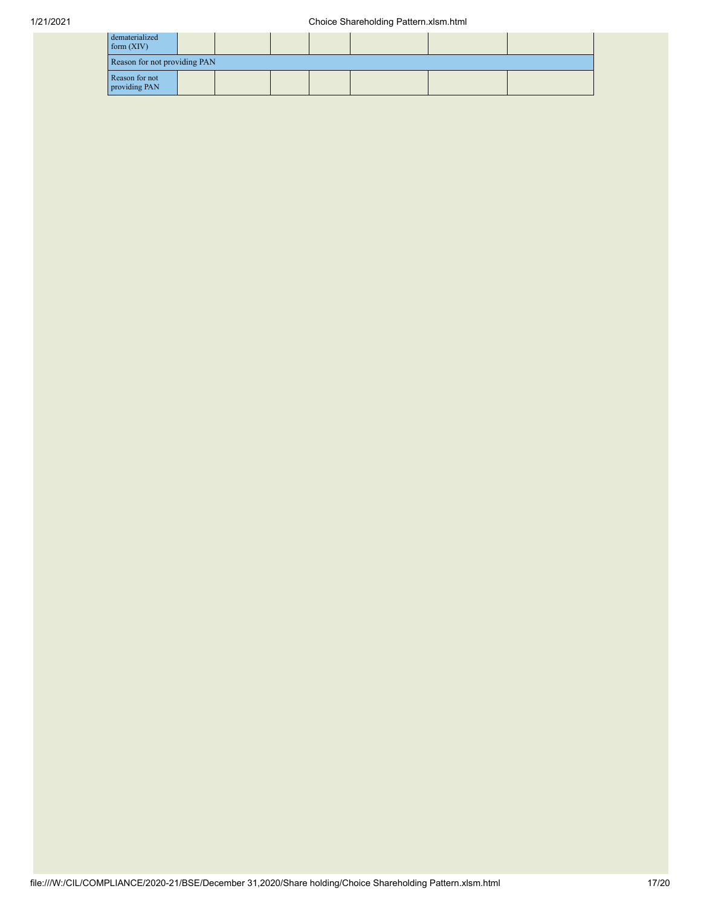| dematerialized<br>form(XIV)     |  |  |  |  |
|---------------------------------|--|--|--|--|
| Reason for not providing PAN    |  |  |  |  |
| Reason for not<br>providing PAN |  |  |  |  |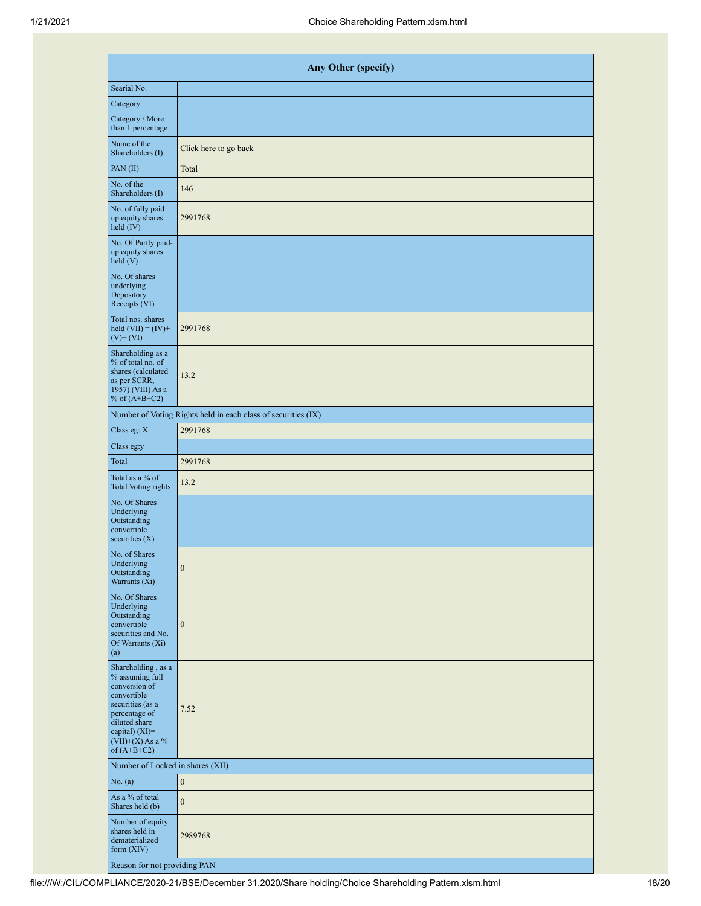| <b>Any Other (specify)</b>                                                                                                                                                           |                                                               |  |  |  |  |  |  |  |  |
|--------------------------------------------------------------------------------------------------------------------------------------------------------------------------------------|---------------------------------------------------------------|--|--|--|--|--|--|--|--|
| Searial No.                                                                                                                                                                          |                                                               |  |  |  |  |  |  |  |  |
| Category                                                                                                                                                                             |                                                               |  |  |  |  |  |  |  |  |
| Category / More<br>than 1 percentage                                                                                                                                                 |                                                               |  |  |  |  |  |  |  |  |
| Name of the<br>Shareholders (I)                                                                                                                                                      | Click here to go back                                         |  |  |  |  |  |  |  |  |
| PAN(II)                                                                                                                                                                              | Total                                                         |  |  |  |  |  |  |  |  |
| No. of the<br>Shareholders (I)                                                                                                                                                       | 146                                                           |  |  |  |  |  |  |  |  |
| No. of fully paid<br>up equity shares<br>held (IV)                                                                                                                                   | 2991768                                                       |  |  |  |  |  |  |  |  |
| No. Of Partly paid-<br>up equity shares<br>held (V)                                                                                                                                  |                                                               |  |  |  |  |  |  |  |  |
| No. Of shares<br>underlying<br>Depository<br>Receipts (VI)                                                                                                                           |                                                               |  |  |  |  |  |  |  |  |
| Total nos. shares<br>held $(VII) = (IV) +$<br>$(V)$ + $(VI)$                                                                                                                         | 2991768                                                       |  |  |  |  |  |  |  |  |
| Shareholding as a<br>% of total no. of<br>shares (calculated<br>as per SCRR,<br>1957) (VIII) As a<br>% of $(A+B+C2)$                                                                 | 13.2                                                          |  |  |  |  |  |  |  |  |
|                                                                                                                                                                                      | Number of Voting Rights held in each class of securities (IX) |  |  |  |  |  |  |  |  |
| Class eg: X                                                                                                                                                                          | 2991768                                                       |  |  |  |  |  |  |  |  |
| Class eg:y                                                                                                                                                                           |                                                               |  |  |  |  |  |  |  |  |
| Total                                                                                                                                                                                | 2991768                                                       |  |  |  |  |  |  |  |  |
| Total as a % of<br><b>Total Voting rights</b>                                                                                                                                        | 13.2                                                          |  |  |  |  |  |  |  |  |
| No. Of Shares<br>Underlying<br>Outstanding<br>convertible<br>securities $(X)$                                                                                                        |                                                               |  |  |  |  |  |  |  |  |
| No. of Shares<br>Underlying<br>Outstanding<br>Warrants (Xi)                                                                                                                          | $\theta$                                                      |  |  |  |  |  |  |  |  |
| No. Of Shares<br>Underlying<br>Outstanding<br>convertible<br>securities and No.<br>Of Warrants (Xi)<br>(a)                                                                           | $\boldsymbol{0}$                                              |  |  |  |  |  |  |  |  |
| Shareholding, as a<br>% assuming full<br>conversion of<br>convertible<br>securities (as a<br>percentage of<br>diluted share<br>capital) (XI)=<br>$(VII)+(X)$ As a %<br>of $(A+B+C2)$ | 7.52                                                          |  |  |  |  |  |  |  |  |
| Number of Locked in shares (XII)                                                                                                                                                     |                                                               |  |  |  |  |  |  |  |  |
| No. (a)                                                                                                                                                                              | $\mathbf{0}$                                                  |  |  |  |  |  |  |  |  |
| As a % of total<br>Shares held (b)                                                                                                                                                   | $\mathbf{0}$                                                  |  |  |  |  |  |  |  |  |
| Number of equity<br>shares held in<br>dematerialized<br>form $(XIV)$                                                                                                                 | 2989768                                                       |  |  |  |  |  |  |  |  |
| Reason for not providing PAN                                                                                                                                                         |                                                               |  |  |  |  |  |  |  |  |

file:///W:/CIL/COMPLIANCE/2020-21/BSE/December 31,2020/Share holding/Choice Shareholding Pattern.xlsm.html 18/20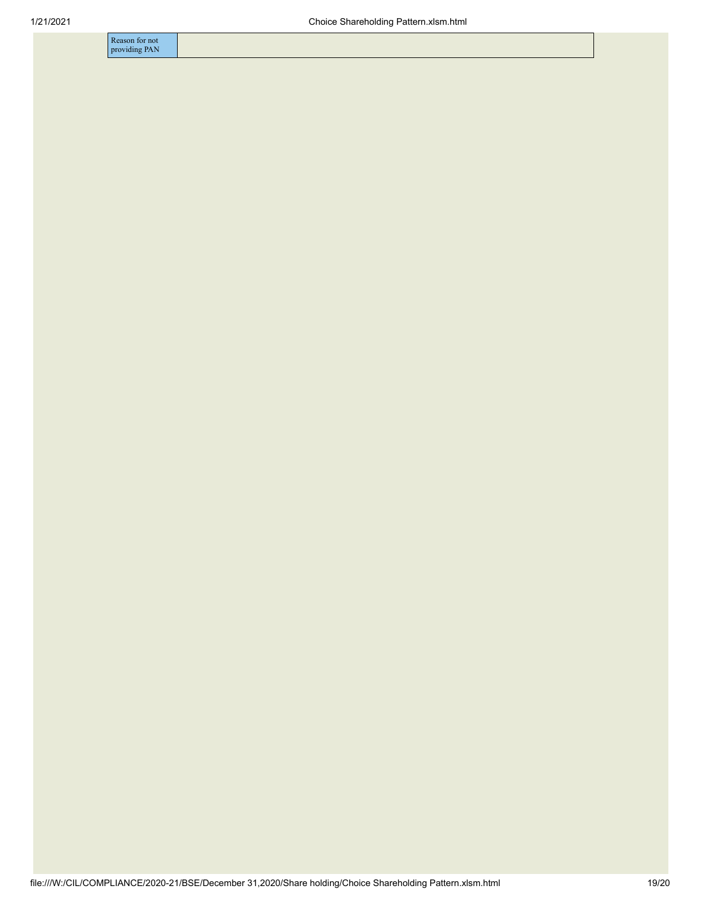Reason for not providing PAN